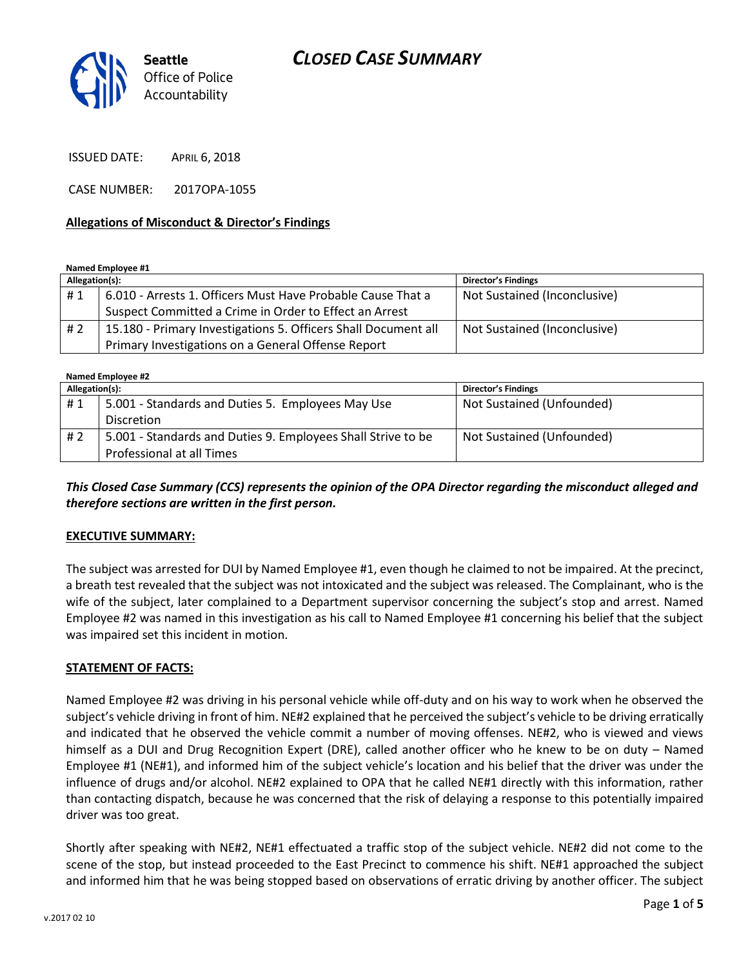

ISSUED DATE: APRIL 6, 2018

CASE NUMBER: 2017OPA-1055

#### **Allegations of Misconduct & Director's Findings**

**Named Employee #1**

| Allegation(s): |                                                                | <b>Director's Findings</b>   |
|----------------|----------------------------------------------------------------|------------------------------|
| #1             | 6.010 - Arrests 1. Officers Must Have Probable Cause That a    | Not Sustained (Inconclusive) |
|                | Suspect Committed a Crime in Order to Effect an Arrest         |                              |
| # 2            | 15.180 - Primary Investigations 5. Officers Shall Document all | Not Sustained (Inconclusive) |
|                | Primary Investigations on a General Offense Report             |                              |

**Named Employee #2**

| Allegation(s): |                                                              | <b>Director's Findings</b> |  |
|----------------|--------------------------------------------------------------|----------------------------|--|
| #1             | 5.001 - Standards and Duties 5. Employees May Use            | Not Sustained (Unfounded)  |  |
|                | <b>Discretion</b>                                            |                            |  |
| #2             | 5.001 - Standards and Duties 9. Employees Shall Strive to be | Not Sustained (Unfounded)  |  |
|                | Professional at all Times                                    |                            |  |

*This Closed Case Summary (CCS) represents the opinion of the OPA Director regarding the misconduct alleged and therefore sections are written in the first person.* 

### **EXECUTIVE SUMMARY:**

The subject was arrested for DUI by Named Employee #1, even though he claimed to not be impaired. At the precinct, a breath test revealed that the subject was not intoxicated and the subject was released. The Complainant, who is the wife of the subject, later complained to a Department supervisor concerning the subject's stop and arrest. Named Employee #2 was named in this investigation as his call to Named Employee #1 concerning his belief that the subject was impaired set this incident in motion.

### **STATEMENT OF FACTS:**

Named Employee #2 was driving in his personal vehicle while off-duty and on his way to work when he observed the subject's vehicle driving in front of him. NE#2 explained that he perceived the subject's vehicle to be driving erratically and indicated that he observed the vehicle commit a number of moving offenses. NE#2, who is viewed and views himself as a DUI and Drug Recognition Expert (DRE), called another officer who he knew to be on duty – Named Employee #1 (NE#1), and informed him of the subject vehicle's location and his belief that the driver was under the influence of drugs and/or alcohol. NE#2 explained to OPA that he called NE#1 directly with this information, rather than contacting dispatch, because he was concerned that the risk of delaying a response to this potentially impaired driver was too great.

Shortly after speaking with NE#2, NE#1 effectuated a traffic stop of the subject vehicle. NE#2 did not come to the scene of the stop, but instead proceeded to the East Precinct to commence his shift. NE#1 approached the subject and informed him that he was being stopped based on observations of erratic driving by another officer. The subject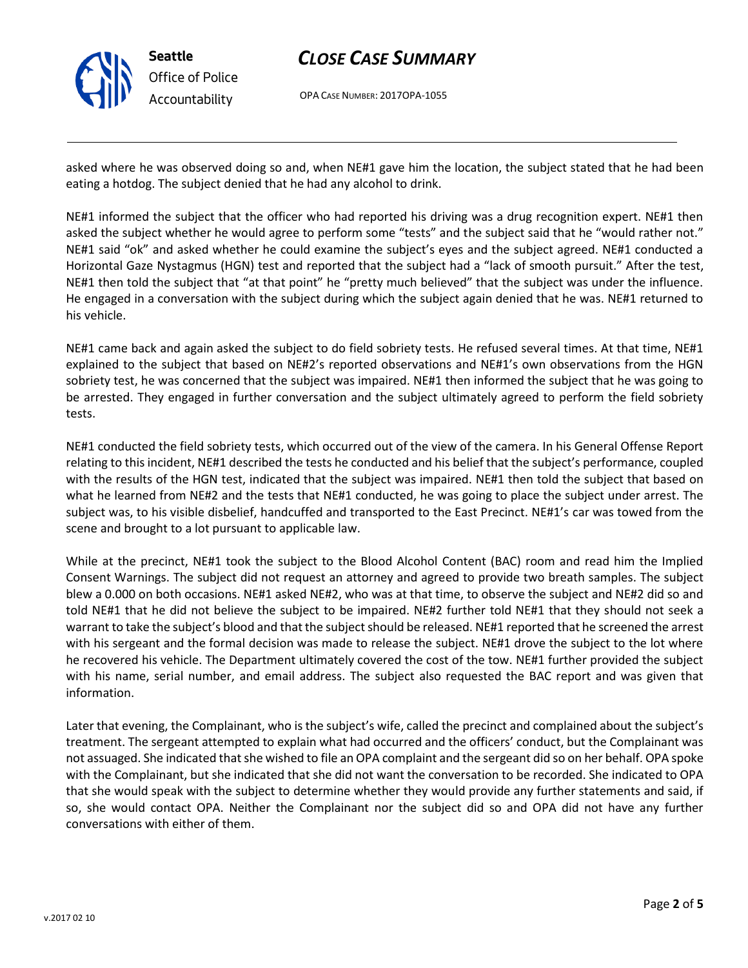

# *CLOSE CASE SUMMARY*

OPA CASE NUMBER: 2017OPA-1055

asked where he was observed doing so and, when NE#1 gave him the location, the subject stated that he had been eating a hotdog. The subject denied that he had any alcohol to drink.

NE#1 informed the subject that the officer who had reported his driving was a drug recognition expert. NE#1 then asked the subject whether he would agree to perform some "tests" and the subject said that he "would rather not." NE#1 said "ok" and asked whether he could examine the subject's eyes and the subject agreed. NE#1 conducted a Horizontal Gaze Nystagmus (HGN) test and reported that the subject had a "lack of smooth pursuit." After the test, NE#1 then told the subject that "at that point" he "pretty much believed" that the subject was under the influence. He engaged in a conversation with the subject during which the subject again denied that he was. NE#1 returned to his vehicle.

NE#1 came back and again asked the subject to do field sobriety tests. He refused several times. At that time, NE#1 explained to the subject that based on NE#2's reported observations and NE#1's own observations from the HGN sobriety test, he was concerned that the subject was impaired. NE#1 then informed the subject that he was going to be arrested. They engaged in further conversation and the subject ultimately agreed to perform the field sobriety tests.

NE#1 conducted the field sobriety tests, which occurred out of the view of the camera. In his General Offense Report relating to this incident, NE#1 described the tests he conducted and his belief that the subject's performance, coupled with the results of the HGN test, indicated that the subject was impaired. NE#1 then told the subject that based on what he learned from NE#2 and the tests that NE#1 conducted, he was going to place the subject under arrest. The subject was, to his visible disbelief, handcuffed and transported to the East Precinct. NE#1's car was towed from the scene and brought to a lot pursuant to applicable law.

While at the precinct, NE#1 took the subject to the Blood Alcohol Content (BAC) room and read him the Implied Consent Warnings. The subject did not request an attorney and agreed to provide two breath samples. The subject blew a 0.000 on both occasions. NE#1 asked NE#2, who was at that time, to observe the subject and NE#2 did so and told NE#1 that he did not believe the subject to be impaired. NE#2 further told NE#1 that they should not seek a warrant to take the subject's blood and that the subject should be released. NE#1 reported that he screened the arrest with his sergeant and the formal decision was made to release the subject. NE#1 drove the subject to the lot where he recovered his vehicle. The Department ultimately covered the cost of the tow. NE#1 further provided the subject with his name, serial number, and email address. The subject also requested the BAC report and was given that information.

Later that evening, the Complainant, who is the subject's wife, called the precinct and complained about the subject's treatment. The sergeant attempted to explain what had occurred and the officers' conduct, but the Complainant was not assuaged. She indicated that she wished to file an OPA complaint and the sergeant did so on her behalf. OPA spoke with the Complainant, but she indicated that she did not want the conversation to be recorded. She indicated to OPA that she would speak with the subject to determine whether they would provide any further statements and said, if so, she would contact OPA. Neither the Complainant nor the subject did so and OPA did not have any further conversations with either of them.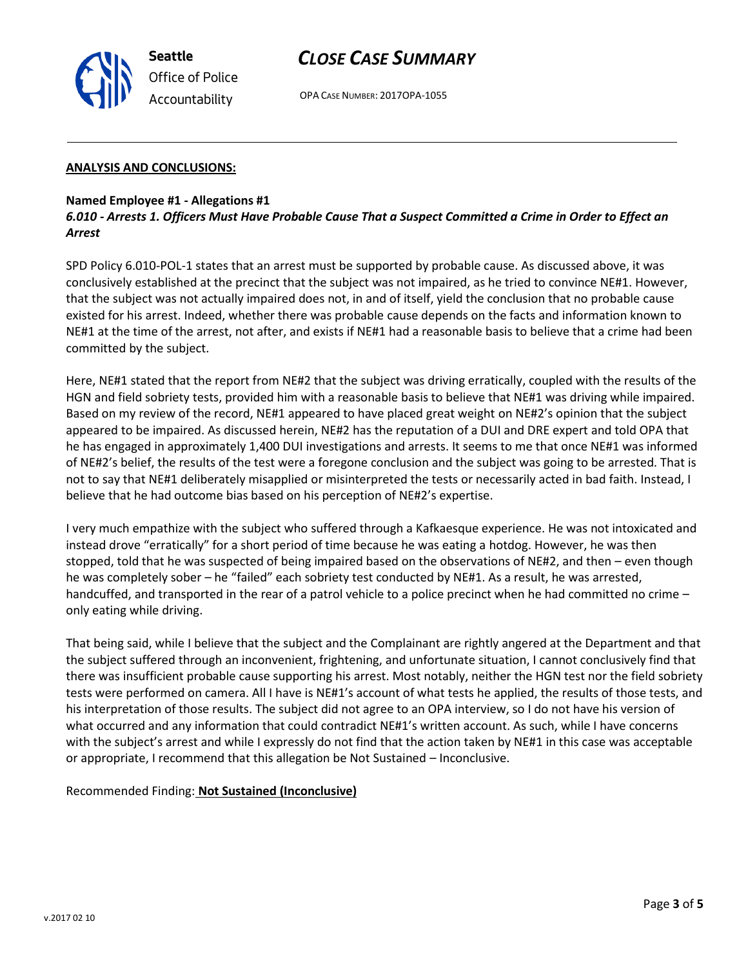*CLOSE CASE SUMMARY*

OPA CASE NUMBER: 2017OPA-1055

### **ANALYSIS AND CONCLUSIONS:**

### **Named Employee #1 - Allegations #1**

**Seattle**

*Office of Police Accountability*

### *6.010 - Arrests 1. Officers Must Have Probable Cause That a Suspect Committed a Crime in Order to Effect an Arrest*

SPD Policy 6.010-POL-1 states that an arrest must be supported by probable cause. As discussed above, it was conclusively established at the precinct that the subject was not impaired, as he tried to convince NE#1. However, that the subject was not actually impaired does not, in and of itself, yield the conclusion that no probable cause existed for his arrest. Indeed, whether there was probable cause depends on the facts and information known to NE#1 at the time of the arrest, not after, and exists if NE#1 had a reasonable basis to believe that a crime had been committed by the subject.

Here, NE#1 stated that the report from NE#2 that the subject was driving erratically, coupled with the results of the HGN and field sobriety tests, provided him with a reasonable basis to believe that NE#1 was driving while impaired. Based on my review of the record, NE#1 appeared to have placed great weight on NE#2's opinion that the subject appeared to be impaired. As discussed herein, NE#2 has the reputation of a DUI and DRE expert and told OPA that he has engaged in approximately 1,400 DUI investigations and arrests. It seems to me that once NE#1 was informed of NE#2's belief, the results of the test were a foregone conclusion and the subject was going to be arrested. That is not to say that NE#1 deliberately misapplied or misinterpreted the tests or necessarily acted in bad faith. Instead, I believe that he had outcome bias based on his perception of NE#2's expertise.

I very much empathize with the subject who suffered through a Kafkaesque experience. He was not intoxicated and instead drove "erratically" for a short period of time because he was eating a hotdog. However, he was then stopped, told that he was suspected of being impaired based on the observations of NE#2, and then – even though he was completely sober – he "failed" each sobriety test conducted by NE#1. As a result, he was arrested, handcuffed, and transported in the rear of a patrol vehicle to a police precinct when he had committed no crime – only eating while driving.

That being said, while I believe that the subject and the Complainant are rightly angered at the Department and that the subject suffered through an inconvenient, frightening, and unfortunate situation, I cannot conclusively find that there was insufficient probable cause supporting his arrest. Most notably, neither the HGN test nor the field sobriety tests were performed on camera. All I have is NE#1's account of what tests he applied, the results of those tests, and his interpretation of those results. The subject did not agree to an OPA interview, so I do not have his version of what occurred and any information that could contradict NE#1's written account. As such, while I have concerns with the subject's arrest and while I expressly do not find that the action taken by NE#1 in this case was acceptable or appropriate, I recommend that this allegation be Not Sustained – Inconclusive.

### Recommended Finding: **Not Sustained (Inconclusive)**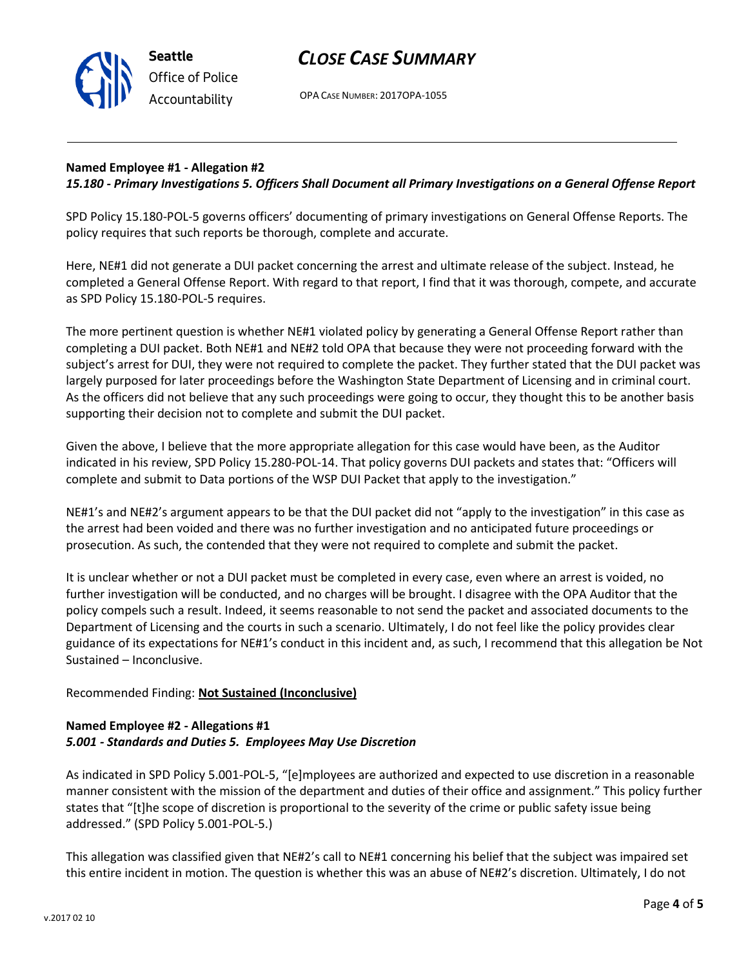v.2017 02 10

# *CLOSE CASE SUMMARY*

OPA CASE NUMBER: 2017OPA-1055

# **Named Employee #1 - Allegation #2**

**Seattle**

*Office of Police Accountability*

## *15.180 - Primary Investigations 5. Officers Shall Document all Primary Investigations on a General Offense Report*

SPD Policy 15.180-POL-5 governs officers' documenting of primary investigations on General Offense Reports. The policy requires that such reports be thorough, complete and accurate.

Here, NE#1 did not generate a DUI packet concerning the arrest and ultimate release of the subject. Instead, he completed a General Offense Report. With regard to that report, I find that it was thorough, compete, and accurate as SPD Policy 15.180-POL-5 requires.

The more pertinent question is whether NE#1 violated policy by generating a General Offense Report rather than completing a DUI packet. Both NE#1 and NE#2 told OPA that because they were not proceeding forward with the subject's arrest for DUI, they were not required to complete the packet. They further stated that the DUI packet was largely purposed for later proceedings before the Washington State Department of Licensing and in criminal court. As the officers did not believe that any such proceedings were going to occur, they thought this to be another basis supporting their decision not to complete and submit the DUI packet.

Given the above, I believe that the more appropriate allegation for this case would have been, as the Auditor indicated in his review, SPD Policy 15.280-POL-14. That policy governs DUI packets and states that: "Officers will complete and submit to Data portions of the WSP DUI Packet that apply to the investigation."

NE#1's and NE#2's argument appears to be that the DUI packet did not "apply to the investigation" in this case as the arrest had been voided and there was no further investigation and no anticipated future proceedings or prosecution. As such, the contended that they were not required to complete and submit the packet.

It is unclear whether or not a DUI packet must be completed in every case, even where an arrest is voided, no further investigation will be conducted, and no charges will be brought. I disagree with the OPA Auditor that the policy compels such a result. Indeed, it seems reasonable to not send the packet and associated documents to the Department of Licensing and the courts in such a scenario. Ultimately, I do not feel like the policy provides clear guidance of its expectations for NE#1's conduct in this incident and, as such, I recommend that this allegation be Not Sustained – Inconclusive.

### Recommended Finding: **Not Sustained (Inconclusive)**

### **Named Employee #2 - Allegations #1** *5.001 - Standards and Duties 5. Employees May Use Discretion*

As indicated in SPD Policy 5.001-POL-5, "[e]mployees are authorized and expected to use discretion in a reasonable manner consistent with the mission of the department and duties of their office and assignment." This policy further states that "[t]he scope of discretion is proportional to the severity of the crime or public safety issue being addressed." (SPD Policy 5.001-POL-5.)

This allegation was classified given that NE#2's call to NE#1 concerning his belief that the subject was impaired set this entire incident in motion. The question is whether this was an abuse of NE#2's discretion. Ultimately, I do not